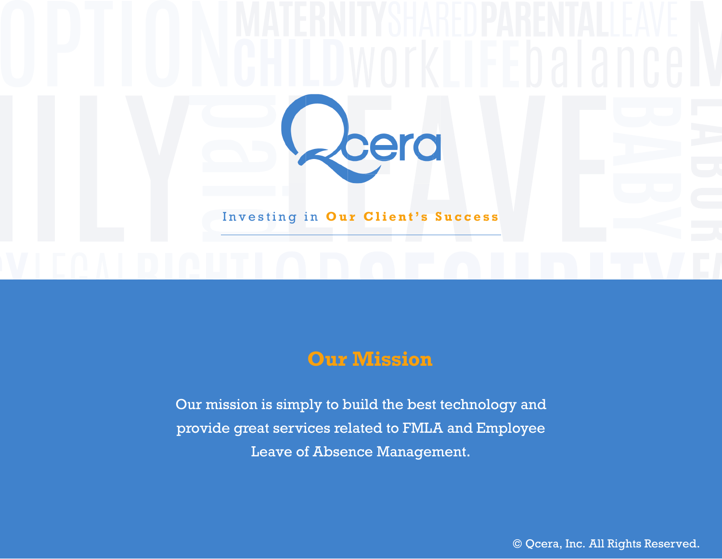

### **Our Mission**

Our mission is simply to build the best technology and provide great services related to FMLA and Employee Leave of Absence Management.

© Qcera, Inc. All Rights Reserved.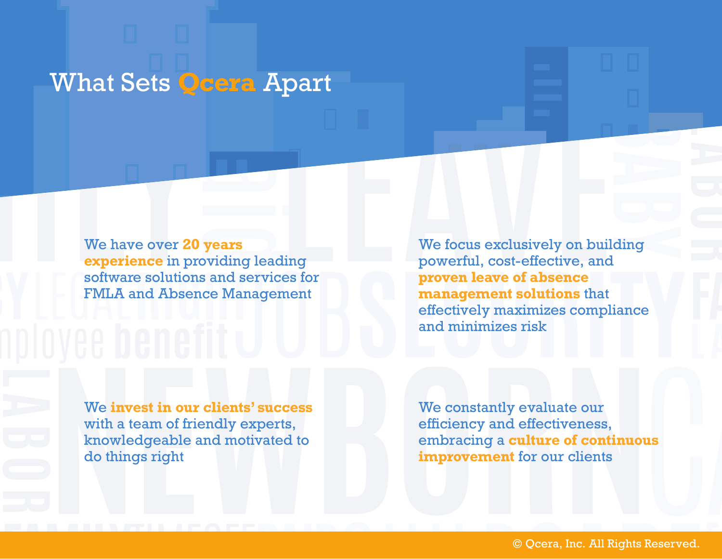# What Sets **Qcera** Apart

We have over **20 years experience** in providing leading software solutions and services for FMLA and Absence Management

We focus exclusively on building powerful, cost-effective, and **proven leave of absence management solutions** that effectively maximizes compliance and minimizes risk

We **invest in our clients' success** with a team of friendly experts, knowledgeable and motivated to do things right

We constantly evaluate our efficiency and effectiveness, embracing a **culture of continuous improvement** for our clients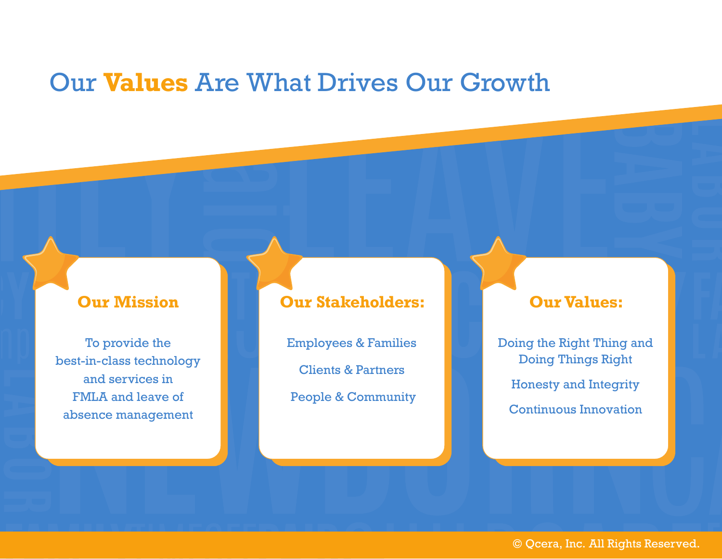### Our **Values** Are What Drives Our Growth

### **Our Mission**

To provide the best-in-class technology and services in FMLA and leave of absence management

### **Our Stakeholders:**

Employees & Families

Clients & Partners

People & Community

#### **Our Values:**

Doing the Right Thing and Doing Things Right Honesty and Integrity Continuous Innovation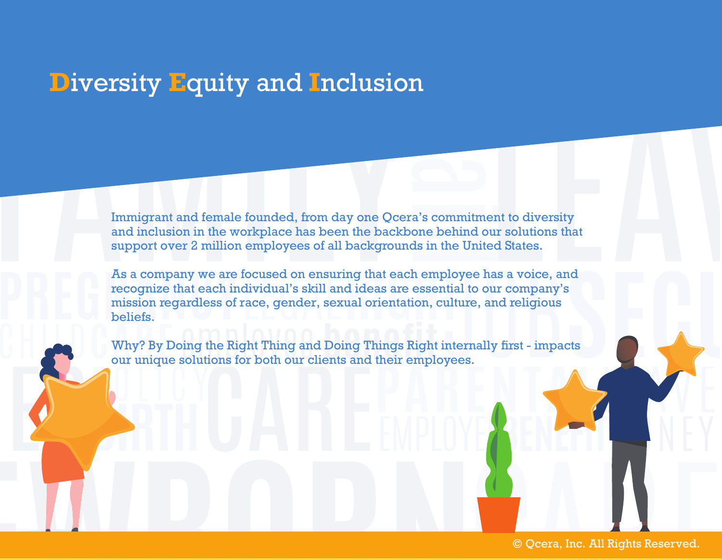# **D**iversity **E**quity and **I**nclusion

Immigrant and female founded, from day one Qcera's commitment to diversity and inclusion in the workplace has been the backbone behind our solutions that support over 2 million employees of all backgrounds in the United States.

As a company we are focused on ensuring that each employee has a voice, and recognize that each individual's skill and ideas are essential to our company's mission regardless of race, gender, sexual orientation, culture, and religious beliefs.

Why? By Doing the Right Thing and Doing Things Right internally first - impacts our unique solutions for both our clients and their employees.